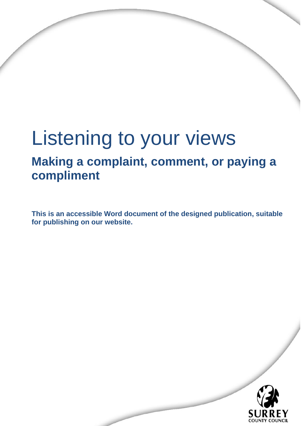# Listening to your views

## **Making a complaint, comment, or paying a compliment**

**This is an accessible Word document of the designed publication, suitable for publishing on our website.** 

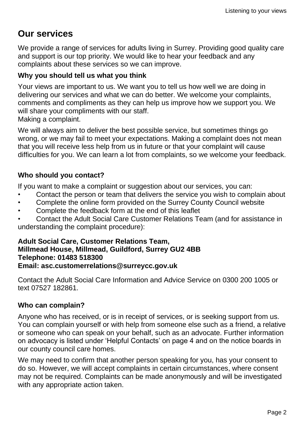## **Our services**

We provide a range of services for adults living in Surrey. Providing good quality care and support is our top priority. We would like to hear your feedback and any complaints about these services so we can improve.

#### **Why you should tell us what you think**

Your views are important to us. We want you to tell us how well we are doing in delivering our services and what we can do better. We welcome your complaints, comments and compliments as they can help us improve how we support you. We will share your compliments with our staff.

Making a complaint.

We will always aim to deliver the best possible service, but sometimes things go wrong, or we may fail to meet your expectations. Making a complaint does not mean that you will receive less help from us in future or that your complaint will cause difficulties for you. We can learn a lot from complaints, so we welcome your feedback.

#### **Who should you contact?**

If you want to make a complaint or suggestion about our services, you can:

- Contact the person or team that delivers the service you wish to complain about
- Complete the online form provided on the Surrey County Council website
- Complete the feedback form at the end of this leaflet
- Contact the Adult Social Care Customer Relations Team (and for assistance in understanding the complaint procedure):

#### **Adult Social Care, Customer Relations Team, Millmead House, Millmead, Guildford, Surrey GU2 4BB Telephone: 01483 518300 Email: asc.customerrelations@surreycc.gov.uk**

Contact the Adult Social Care Information and Advice Service on 0300 200 1005 or text 07527 182861.

#### **Who can complain?**

Anyone who has received, or is in receipt of services, or is seeking support from us. You can complain yourself or with help from someone else such as a friend, a relative or someone who can speak on your behalf, such as an advocate. Further information on advocacy is listed under 'Helpful Contacts' on page 4 and on the notice boards in our county council care homes.

We may need to confirm that another person speaking for you, has your consent to do so. However, we will accept complaints in certain circumstances, where consent may not be required. Complaints can be made anonymously and will be investigated with any appropriate action taken.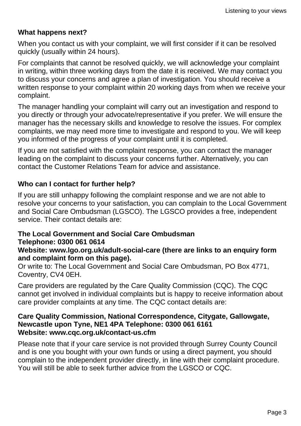#### **What happens next?**

When you contact us with your complaint, we will first consider if it can be resolved quickly (usually within 24 hours).

For complaints that cannot be resolved quickly, we will acknowledge your complaint in writing, within three working days from the date it is received. We may contact you to discuss your concerns and agree a plan of investigation. You should receive a written response to your complaint within 20 working days from when we receive your complaint.

The manager handling your complaint will carry out an investigation and respond to you directly or through your advocate/representative if you prefer. We will ensure the manager has the necessary skills and knowledge to resolve the issues. For complex complaints, we may need more time to investigate and respond to you. We will keep you informed of the progress of your complaint until it is completed.

If you are not satisfied with the complaint response, you can contact the manager leading on the complaint to discuss your concerns further. Alternatively, you can contact the Customer Relations Team for advice and assistance.

#### **Who can I contact for further help?**

If you are still unhappy following the complaint response and we are not able to resolve your concerns to your satisfaction, you can complain to the Local Government and Social Care Ombudsman (LGSCO). The LGSCO provides a free, independent service. Their contact details are:

#### **The Local Government and Social Care Ombudsman Telephone: 0300 061 0614**

#### **Website: www.lgo.org.uk/adult-social-care (there are links to an enquiry form and complaint form on this page).**

Or write to: The Local Government and Social Care Ombudsman, PO Box 4771, Coventry, CV4 0EH.

Care providers are regulated by the Care Quality Commission (CQC). The CQC cannot get involved in individual complaints but is happy to receive information about care provider complaints at any time. The CQC contact details are:

#### **Care Quality Commission, National Correspondence, Citygate, Gallowgate, Newcastle upon Tyne, NE1 4PA Telephone: 0300 061 6161 Website: www.cqc.org.uk/contact-us.cfm**

Please note that if your care service is not provided through Surrey County Council and is one you bought with your own funds or using a direct payment, you should complain to the independent provider directly, in line with their complaint procedure. You will still be able to seek further advice from the LGSCO or CQC.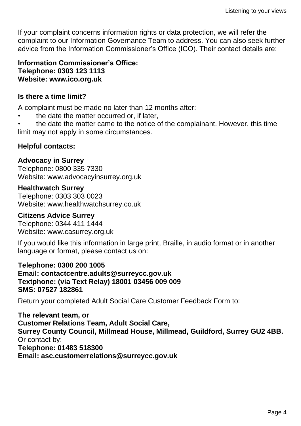If your complaint concerns information rights or data protection, we will refer the complaint to our Information Governance Team to address. You can also seek further advice from the Information Commissioner's Office (ICO). Their contact details are:

#### **Information Commissioner's Office: Telephone: 0303 123 1113 Website: www.ico.org.uk**

#### **Is there a time limit?**

A complaint must be made no later than 12 months after:

• the date the matter occurred or, if later,

• the date the matter came to the notice of the complainant. However, this time limit may not apply in some circumstances.

#### **Helpful contacts:**

#### **Advocacy in Surrey**

Telephone: 0800 335 7330 Website: www.advocacyinsurrey.org.uk

#### **Healthwatch Surrey**

Telephone: 0303 303 0023 Website: www.healthwatchsurrey.co.uk

#### **Citizens Advice Surrey**

Telephone: 0344 411 1444 Website: www.casurrey.org.uk

If you would like this information in large print, Braille, in audio format or in another language or format, please contact us on:

**Telephone: 0300 200 1005 Email: contactcentre.adults@surreycc.gov.uk Textphone: (via Text Relay) 18001 03456 009 009 SMS: 07527 182861**

Return your completed Adult Social Care Customer Feedback Form to:

**The relevant team, or Customer Relations Team, Adult Social Care, Surrey County Council, Millmead House, Millmead, Guildford, Surrey GU2 4BB.** Or contact by: **Telephone: 01483 518300 Email: asc.customerrelations@surreycc.gov.uk**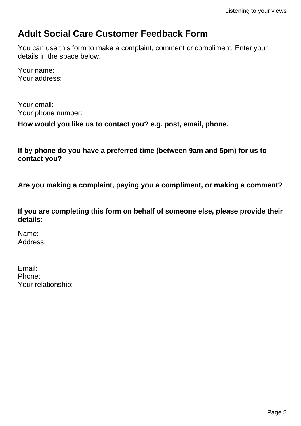### **Adult Social Care Customer Feedback Form**

You can use this form to make a complaint, comment or compliment. Enter your details in the space below.

Your name: Your address:

Your email: Your phone number:

**How would you like us to contact you? e.g. post, email, phone.**

**If by phone do you have a preferred time (between 9am and 5pm) for us to contact you?**

**Are you making a complaint, paying you a compliment, or making a comment?**

**If you are completing this form on behalf of someone else, please provide their details:**

Name: Address:

Email: Phone: Your relationship: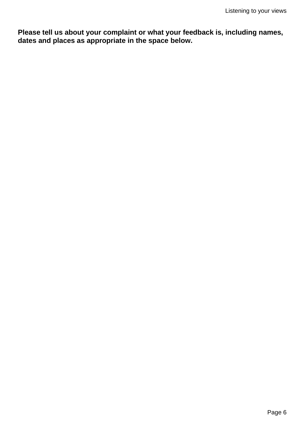**Please tell us about your complaint or what your feedback is, including names, dates and places as appropriate in the space below.**